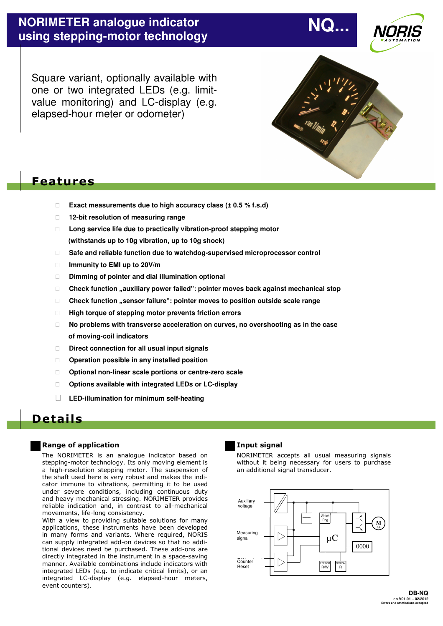Square variant, optionally available with one or two integrated LEDs (e.g. limitvalue monitoring) and LC-display (e.g. elapsed-hour meter or odometer)



 **NQ...** 

## **Features**

- ⇒ **Exact measurements due to high accuracy class (± 0.5 % f.s.d)**
- ⇒ **12-bit resolution of measuring range**
- ⇒ **Long service life due to practically vibration-proof stepping motor (withstands up to 10g vibration, up to 10g shock)**
- ⇒ **Safe and reliable function due to watchdog-supervised microprocessor control**
- ⇒ **Immunity to EMI up to 20V/m**
- ⇒ **Dimming of pointer and dial illumination optional**
- □ Check function "auxiliary power failed": pointer moves back against mechanical stop
- ⇒ **Check function "sensor failure": pointer moves to position outside scale range**
- ⇒ **High torque of stepping motor prevents friction errors**
- ⇒ **No problems with transverse acceleration on curves, no overshooting as in the case of moving-coil indicators**
- ⇒ **Direct connection for all usual input signals**
- ⇒ **Operation possible in any installed position**
- ⇒ **Optional non-linear scale portions or centre-zero scale**
- ⇒ **Options available with integrated LEDs or LC-display**
- ⇒ **LED-illumination for minimum self-heating**

## **Deta i ls**

### **Range of application**

The NORIMETER is an analogue indicator based on stepping-motor technology. Its only moving element is a high-resolution stepping motor. The suspension of the shaft used here is very robust and makes the indicator immune to vibrations, permitting it to be used under severe conditions, including continuous duty and heavy mechanical stressing. NORIMETER provides reliable indication and, in contrast to all-mechanical movements, life-long consistency.

With a view to providing suitable solutions for many applications, these instruments have been developed in many forms and variants. Where required, NORIS can supply integrated add-on devices so that no additional devices need be purchased. These add-ons are directly integrated in the instrument in a space-saving manner. Available combinations include indicators with integrated LEDs (e.g. to indicate critical limits), or an integrated LC-display (e.g. elapsed-hour meters, event counters).

## **Input signal**

NORIMETER accepts all usual measuring signals without it being necessary for users to purchase an additional signal transducer.

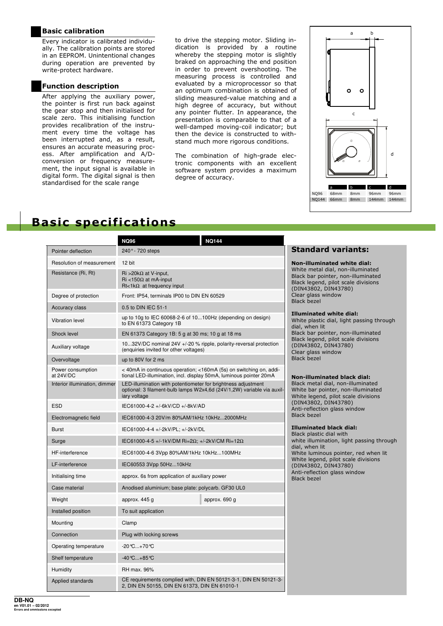## **Basic calibration**

Every indicator is calibrated individually. The calibration points are stored in an EEPROM. Unintentional changes during operation are prevented by write-protect hardware.

## **Function description**

After applying the auxiliary power, the pointer is first run back against the gear stop and then initialised for scale zero. This initialising function provides recalibration of the instrument every time the voltage has been interrupted and, as a result, ensures an accurate measuring process. After amplification and A/Dconversion or frequency measurement, the input signal is available in digital form. The digital signal is then standardised for the scale range

to drive the stepping motor. Sliding indication is provided by a routine whereby the stepping motor is slightly braked on approaching the end position in order to prevent overshooting. The measuring process is controlled and evaluated by a microprocessor so that an optimum combination is obtained of sliding measured-value matching and a high degree of accuracy, but without any pointer flutter. In appearance, the presentation is comparable to that of a well-damped moving-coil indicator; but then the device is constructed to withstand much more rigorous conditions.

The combination of high-grade electronic components with an excellent software system provides a maximum degree of accuracy.



## **Basic specifications**

|                                | <b>NQ144</b><br><b>NQ96</b>                                                                                                                             |  |  |
|--------------------------------|---------------------------------------------------------------------------------------------------------------------------------------------------------|--|--|
| Pointer deflection             | 240° - 720 steps                                                                                                                                        |  |  |
| Resolution of measurement      | 12 bit                                                                                                                                                  |  |  |
| Resistance (Ri, Rt)            | $\text{Ri} > 20 \text{k}\Omega$ at V-input.<br>$\text{Ri}$ <150 $\Omega$ at mA-input<br>$Rt<1k\Omega$ at frequency input                                |  |  |
| Degree of protection           | Front: IP54, terminals IP00 to DIN EN 60529                                                                                                             |  |  |
| <b>Accuracy class</b>          | 0.5 to DIN IEC 51-1                                                                                                                                     |  |  |
| <b>Vibration level</b>         | up to 10g to IEC 60068-2-6 of 10100Hz (depending on design)<br>to EN 61373 Category 1B                                                                  |  |  |
| Shock level                    | EN 61373 Category 1B: 5 g at 30 ms; 10 g at 18 ms                                                                                                       |  |  |
| Auxiliary voltage              | 1032V/DC nominal 24V +/-20 % ripple, polarity-reversal protection<br>(enquiries invited for other voltages)                                             |  |  |
| Overvoltage                    | up to 80V for 2 ms                                                                                                                                      |  |  |
| Power consumption<br>at 24V/DC | < 40mA in continuous operation; <160mA (5s) on switching on, addi-<br>tional LED-illumination, incl. display 50mA, luminous pointer 20mA                |  |  |
| Interior illumination, dimmer  | LED-illumination with potentiometer for brightness adjustment<br>optional: 3 filament-bulb lamps W2x4,6d (24V/1,2W) variable via auxil-<br>iary voltage |  |  |
| <b>ESD</b>                     | IEC61000-4-2 +/-6kV/CD +/-8kV/AD                                                                                                                        |  |  |
| Electromagnetic field          | IEC61000-4-3 20V/m 80%AM/1kHz 10kHz2000MHz                                                                                                              |  |  |
| <b>Burst</b>                   | IEC61000-4-4 +/-2kV/PL; +/-2kV/DL                                                                                                                       |  |  |
| Surge                          | IEC61000-4-5 +/-1kV/DM Ri=2Ω; +/-2kV/CM Ri=12Ω                                                                                                          |  |  |
| <b>HF-interference</b>         | IEC61000-4-6 3Vpp 80%AM/1kHz 10kHz100MHz                                                                                                                |  |  |
| LF-interference                | IEC60553 3Vpp 50Hz10kHz                                                                                                                                 |  |  |
| Initialising time              | approx. 6s from application of auxiliary power                                                                                                          |  |  |
| Case material                  | Anodised aluminium; base plate: polycarb. GF30 UL0                                                                                                      |  |  |
| Weight                         | approx. 445 g<br>approx. 690 g                                                                                                                          |  |  |
| Installed position             | To suit application                                                                                                                                     |  |  |
| Mounting                       | Clamp                                                                                                                                                   |  |  |
| Connection                     | Plug with locking screws                                                                                                                                |  |  |
| Operating temperature          | -20 ℃+70 ℃                                                                                                                                              |  |  |
| Shelf temperature              | -40℃…+85℃                                                                                                                                               |  |  |
| Humidity                       | RH max. 96%                                                                                                                                             |  |  |
| Applied standards              | CE requirements complied with, DIN EN 50121-3-1, DIN EN 50121-3-<br>2, DIN EN 50155, DIN EN 61373, DIN EN 61010-1                                       |  |  |

## **Standard variants:**

| White metal dial, non-illuminated<br>Black bar pointer, non-illuminated<br>Black legend, pilot scale divisions<br>(DIN43802, DIN43780)<br>Clear glass window<br>Black hezel |
|-----------------------------------------------------------------------------------------------------------------------------------------------------------------------------|
| Illuminated white dial:                                                                                                                                                     |
| White plastic dial, light passing through<br>dial, when lit                                                                                                                 |
| Black bar pointer, non-illuminated                                                                                                                                          |
| Black legend, pilot scale divisions                                                                                                                                         |
| (DIN43802, DIN43780)                                                                                                                                                        |
| Clear glass window                                                                                                                                                          |
| <b>Black bezel</b>                                                                                                                                                          |

**Luminated white dial:** 

#### **Iuminated black dial:**

netal dial, non-illuminated par pointer, non-illuminated egend, pilot scale divisions (DIN43802, DIN43780) flection glass window ezel

#### **Illuminated black dial:**

Hastic dial with llumination, light passing through hen lit uminous pointer, red when lit White legend, pilot scale divisions (DIN43802, DIN43780) flection glass window Black bezel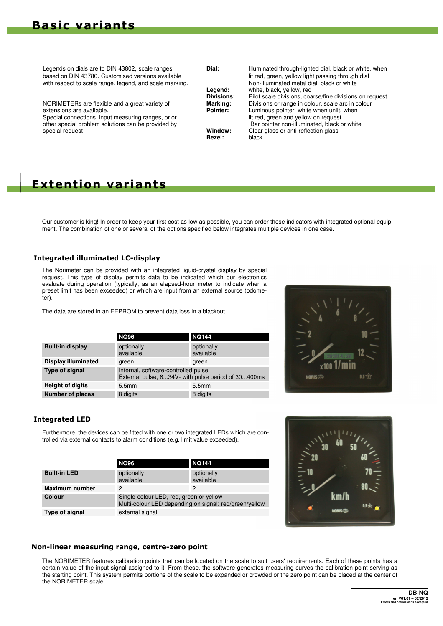with respect to scale range, legend, and scale marking.<br>Legend:

Special connections, input measuring ranges, or or

Legends on dials are to DIN 43802, scale ranges **Dial:** Illuminated through-lighted dial, black or white, when based on DIN 43780. Customised versions available lit red, green, yellow light passing through dial<br>with respect to scale range, legend, and scale marking. Non-illuminated metal dial, black or white **Legend:** white, black, yellow, red<br>**Divisions:** Pilot scale divisions, coa **Divisions:** Pilot scale divisions, coarse/fine divisions on request. NORIMETERs are flexible and a great variety of **Marking:** Divisions or range in colour, scale arc in colour<br> **Pointer:** Luminous pointer, white when unlit, when<br>
Luminous pointer, white when unlit, when Luminous pointer, white when unlit, when lit red, green and yellow on request other special problem solutions can be provided by **Bar pointer non-illuminated**, black or white special request<br> **Window:** Clear glass or anti-reflection glass<br> **Rezel:** black<br> **Rezel:** black **Bezel:** 

## **Extention variants**

Our customer is king! In order to keep your first cost as low as possible, you can order these indicators with integrated optional equipment. The combination of one or several of the options specified below integrates multiple devices in one case.

## **Integrated illuminated LC-display**

The Norimeter can be provided with an integrated liguid-crystal display by special request. This type of display permits data to be indicated which our electronics evaluate during operation (typically, as an elapsed-hour meter to indicate when a preset limit has been exceeded) or which are input from an external source (odometer).

The data are stored in an EEPROM to prevent data loss in a blackout.

|                            | <b>NQ96</b>                                                                               | <b>NQ144</b>            |  |
|----------------------------|-------------------------------------------------------------------------------------------|-------------------------|--|
| <b>Built-in display</b>    | optionally<br>available                                                                   | optionally<br>available |  |
| <b>Display illuminated</b> | green                                                                                     | green                   |  |
| Type of signal             | Internal, software-controlled pulse<br>External pulse, 834V- with pulse period of 30400ms |                         |  |
| <b>Height of digits</b>    | 5.5mm                                                                                     | 5.5mm                   |  |
| <b>Number of places</b>    | 8 digits                                                                                  | 8 digits                |  |



## **Integrated LED**

Furthermore, the devices can be fitted with one or two integrated LEDs which are controlled via external contacts to alarm conditions (e.g. limit value exceeded).

|                       | <b>NQ96</b>                                                                                       | <b>NQ144</b>            |
|-----------------------|---------------------------------------------------------------------------------------------------|-------------------------|
| <b>Built-in LED</b>   | optionally<br>available                                                                           | optionally<br>available |
| <b>Maximum number</b> | 2                                                                                                 | 2                       |
| Colour                | Single-colour LED, red, green or yellow<br>Multi-colour LED depending on signal: red/green/yellow |                         |
| Type of signal        | external signal                                                                                   |                         |



### **Non-linear measuring range, centre-zero point**

The NORIMETER features calibration points that can be located on the scale to suit users' requirements. Each of these points has a certain value of the input signal assigned to it. From these, the software generates measuring curves the calibration point serving as the starting point. This system permits portions of the scale to be expanded or crowded or the zero point can be placed at the center of the NORIMETER scale.